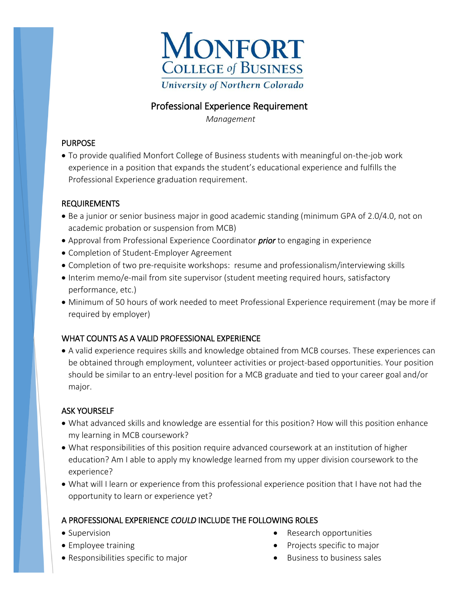

# Professional Experience Requirement

 *Management* 

## PURPOSE

 To provide qualified Monfort College of Business students with meaningful on-the-job work experience in a position that expands the student's educational experience and fulfills the Professional Experience graduation requirement.

## REQUIREMENTS

- Be a junior or senior business major in good academic standing (minimum GPA of 2.0/4.0, not on academic probation or suspension from MCB)
- Approval from Professional Experience Coordinator *prior* to engaging in experience
- Completion of Student-Employer Agreement
- Completion of two pre-requisite workshops: resume and professionalism/interviewing skills
- Interim memo/e-mail from site supervisor (student meeting required hours, satisfactory performance, etc.)
- Minimum of 50 hours of work needed to meet Professional Experience requirement (may be more if required by employer)

# WHAT COUNTS AS A VALID PROFESSIONAL EXPERIENCE

 A valid experience requires skills and knowledge obtained from MCB courses. These experiences can be obtained through employment, volunteer activities or project-based opportunities. Your position should be similar to an entry-level position for a MCB graduate and tied to your career goal and/or major.

# ASK YOURSELF

- What advanced skills and knowledge are essential for this position? How will this position enhance my learning in MCB coursework?
- What responsibilities of this position require advanced coursework at an institution of higher education? Am I able to apply my knowledge learned from my upper division coursework to the experience?
- What will I learn or experience from this professional experience position that I have not had the opportunity to learn or experience yet?

# A PROFESSIONAL EXPERIENCE *COULD* INCLUDE THE FOLLOWING ROLES

- Supervision
- Employee training
- Responsibilities specific to major
- Research opportunities
- Projects specific to major
- $\bullet$  Business to business sales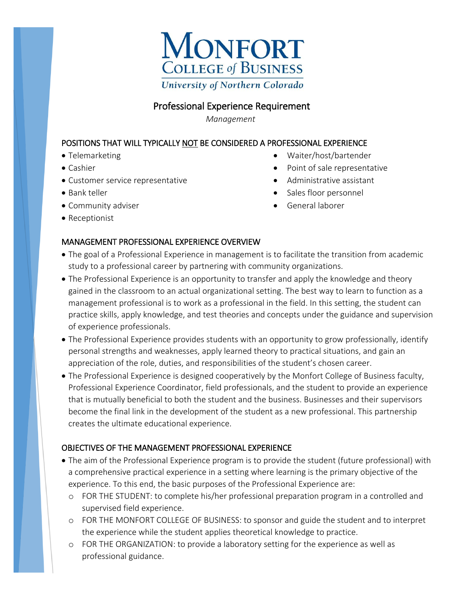

# Professional Experience Requirement

 *Management*

### POSITIONS THAT WILL TYPICALLY NOT BE CONSIDERED A PROFESSIONAL EXPERIENCE

- Telemarketing
- Cashier
- Customer service representative
- Bank teller
- Community adviser
- Receptionist
- Waiter/host/bartender
- Point of sale representative
- Administrative assistant
- Sales floor personnel
- General laborer

#### MANAGEMENT PROFESSIONAL EXPERIENCE OVERVIEW

- The goal of a Professional Experience in management is to facilitate the transition from academic study to a professional career by partnering with community organizations.
- The Professional Experience is an opportunity to transfer and apply the knowledge and theory gained in the classroom to an actual organizational setting. The best way to learn to function as a management professional is to work as a professional in the field. In this setting, the student can practice skills, apply knowledge, and test theories and concepts under the guidance and supervision of experience professionals.
- The Professional Experience provides students with an opportunity to grow professionally, identify personal strengths and weaknesses, apply learned theory to practical situations, and gain an appreciation of the role, duties, and responsibilities of the student's chosen career.
- The Professional Experience is designed cooperatively by the Monfort College of Business faculty, Professional Experience Coordinator, field professionals, and the student to provide an experience that is mutually beneficial to both the student and the business. Businesses and their supervisors become the final link in the development of the student as a new professional. This partnership creates the ultimate educational experience.

### OBJECTIVES OF THE MANAGEMENT PROFESSIONAL EXPERIENCE

- The aim of the Professional Experience program is to provide the student (future professional) with a comprehensive practical experience in a setting where learning is the primary objective of the experience. To this end, the basic purposes of the Professional Experience are:
	- o FOR THE STUDENT: to complete his/her professional preparation program in a controlled and supervised field experience.
	- o FOR THE MONFORT COLLEGE OF BUSINESS: to sponsor and guide the student and to interpret the experience while the student applies theoretical knowledge to practice.
	- o FOR THE ORGANIZATION: to provide a laboratory setting for the experience as well as professional guidance.